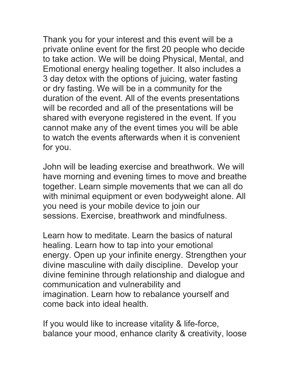Thank you for your interest and this event will be a private online event for the first 20 people who decide to take action. We will be doing Physical, Mental, and Emotional energy healing together. It also includes a 3 day detox with the options of juicing, water fasting or dry fasting. We will be in a community for the duration of the event. All of the events presentations will be recorded and all of the presentations will be shared with everyone registered in the event. If you cannot make any of the event times you will be able to watch the events afterwards when it is convenient for you.

John will be leading exercise and breathwork. We will have morning and evening times to move and breathe together. Learn simple movements that we can all do with minimal equipment or even bodyweight alone. All you need is your mobile device to join our sessions. Exercise, breathwork and mindfulness.

Learn how to meditate. Learn the basics of natural healing. Learn how to tap into your emotional energy. Open up your infinite energy. Strengthen your divine masculine with daily discipline. Develop your divine feminine through relationship and dialogue and communication and vulnerability and imagination. Learn how to rebalance yourself and come back into ideal health.

If you would like to increase vitality & life-force, balance your mood, enhance clarity & creativity, loose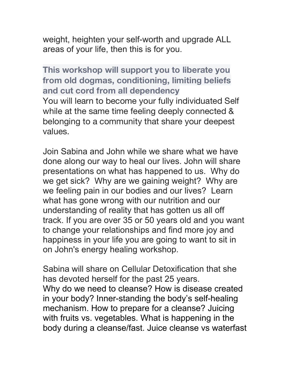weight, heighten your self-worth and upgrade ALL areas of your life, then this is for you.

**This workshop will support you to liberate you from old dogmas, conditioning, limiting beliefs and cut cord from all dependency** You will learn to become your fully individuated Self while at the same time feeling deeply connected & belonging to a community that share your deepest values.

Join Sabina and John while we share what we have done along our way to heal our lives. John will share presentations on what has happened to us. Why do we get sick? Why are we gaining weight? Why are we feeling pain in our bodies and our lives? Learn what has gone wrong with our nutrition and our understanding of reality that has gotten us all off track. If you are over 35 or 50 years old and you want to change your relationships and find more joy and happiness in your life you are going to want to sit in on John's energy healing workshop.

Sabina will share on Cellular Detoxification that she has devoted herself for the past 25 years. Why do we need to cleanse? How is disease created in your body? Inner-standing the body's self-healing mechanism. How to prepare for a cleanse? Juicing with fruits vs. vegetables. What is happening in the body during a cleanse/fast. Juice cleanse vs waterfast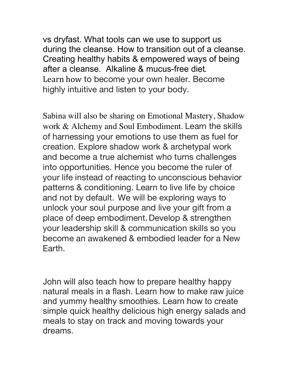vs dryfast. What tools can we use to support us during the cleanse. How to transition out of a cleanse. Creating healthy habits & empowered ways of being after a cleanse. Alkaline & mucus-free diet. Learn how to become your own healer. Become highly intuitive and listen to your body.

Sabina will also be sharing on Emotional Mastery, Shadow work & Alchemy and Soul Embodiment. Learn the skills of harnessing your emotions to use them as fuel for creation. Explore shadow work & archetypal work and become a true alchemist who turns challenges into opportunities. Hence you become the ruler of your life instead of reacting to unconscious behavior patterns & conditioning. Learn to live life by choice and not by default. We will be exploring ways to unlock your soul purpose and live your gift from a place of deep embodiment.Develop & strengthen your leadership skill & communication skills so you become an awakened & embodied leader for a New Earth.

John will also teach how to prepare healthy happy natural meals in a flash. Learn how to make raw juice and yummy healthy smoothies. Learn how to create simple quick healthy delicious high energy salads and meals to stay on track and moving towards your dreams.